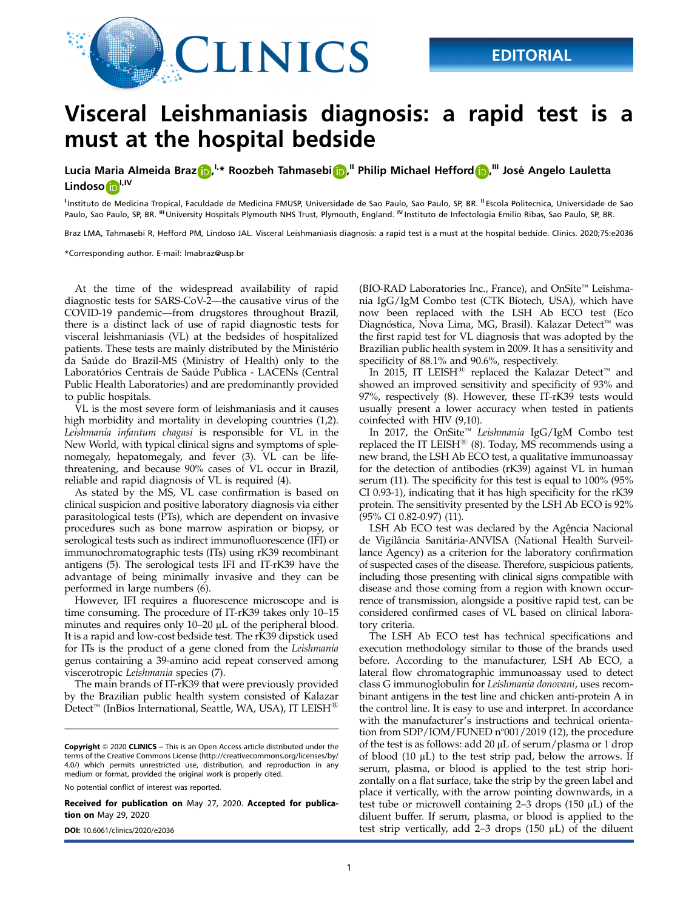

## Visceral Leishmaniasis diagnosis: a rapid test is a must at the hospital bedside

Lucia Maria Almeida Braz $\bigcirc$ ,  $^{l,*}$  Roozbeh Tahmasebi $\bigcirc$ , "Philip Michael Hefford $\bigcirc$ , "I José Angelo Lauletta Lindoso<sup>n,IV</sup>

<sup>1</sup>Instituto de Medicina Tropical, Faculdade de Medicina FMUSP, Universidade de Sao Paulo, Sao Paulo, SP, BR. <sup>II</sup> Escola Politecnica, Universidade de Sao Paulo, Sao Paulo, SP, BR. <sup>III</sup> University Hospitals Plymouth NHS Trust, Plymouth, England. <sup>IV</sup> Instituto de Infectologia Emilio Ribas, Sao Paulo, SP, BR.

Braz LMA, Tahmasebi R, Hefford PM, Lindoso JAL. Visceral Leishmaniasis diagnosis: a rapid test is a must at the hospital bedside. Clinics. 2020;75:e2036

\*Corresponding author. E-mail: lmabraz@usp.br

At the time of the widespread availability of rapid diagnostic tests for SARS-CoV-2—the causative virus of the COVID-19 pandemic—from drugstores throughout Brazil, there is a distinct lack of use of rapid diagnostic tests for visceral leishmaniasis (VL) at the bedsides of hospitalized patients. These tests are mainly distributed by the Ministério da Saúde do Brazil-MS (Ministry of Health) only to the Laboratórios Centrais de Saúde Publica - LACENs (Central Public Health Laboratories) and are predominantly provided to public hospitals.

VL is the most severe form of leishmaniasis and it causes high morbidity and mortality in developing countries (1,2). Leishmania infantum chagasi is responsible for VL in the New World, with typical clinical signs and symptoms of splenomegaly, hepatomegaly, and fever (3). VL can be lifethreatening, and because 90% cases of VL occur in Brazil, reliable and rapid diagnosis of VL is required (4).

As stated by the MS, VL case confirmation is based on clinical suspicion and positive laboratory diagnosis via either parasitological tests (PTs), which are dependent on invasive procedures such as bone marrow aspiration or biopsy, or serological tests such as indirect immunofluorescence (IFI) or immunochromatographic tests (ITs) using rK39 recombinant antigens (5). The serological tests IFI and IT-rK39 have the advantage of being minimally invasive and they can be performed in large numbers (6).

However, IFI requires a fluorescence microscope and is time consuming. The procedure of IT-rK39 takes only 10–15 minutes and requires only 10–20 µL of the peripheral blood. It is a rapid and low-cost bedside test. The rK39 dipstick used for ITs is the product of a gene cloned from the Leishmania genus containing a 39-amino acid repeat conserved among viscerotropic Leishmania species (7).

The main brands of IT-rK39 that were previously provided by the Brazilian public health system consisted of Kalazar Detect<sup>™</sup> (InBios International, Seattle, WA, USA), IT LEISH<sup>®</sup>

No potential conflict of interest was reported.

Received for publication on May 27, 2020. Accepted for publication on May 29, 2020

(BIO-RAD Laboratories Inc., France), and OnSite™ Leishmania IgG/IgM Combo test (CTK Biotech, USA), which have now been replaced with the LSH Ab ECO test (Eco Diagnóstica, Nova Lima, MG, Brasil). Kalazar Detect<sup>™</sup> was the first rapid test for VL diagnosis that was adopted by the Brazilian public health system in 2009. It has a sensitivity and specificity of 88.1% and 90.6%, respectively.

In 2015, IT LEISH<sup>®</sup> replaced the Kalazar Detect<sup>™</sup> and showed an improved sensitivity and specificity of 93% and 97%, respectively (8). However, these IT-rK39 tests would usually present a lower accuracy when tested in patients coinfected with HIV (9,10).

In 2017, the OnSite™ Leishmania IgG/IgM Combo test replaced the IT LEISH $^{\circledR}$  (8). Today, MS recommends using a new brand, the LSH Ab ECO test, a qualitative immunoassay for the detection of antibodies (rK39) against VL in human serum (11). The specificity for this test is equal to 100% (95% CI 0.93-1), indicating that it has high specificity for the rK39 protein. The sensitivity presented by the LSH Ab ECO is 92% (95% CI 0.82-0.97) (11).

LSH Ab ECO test was declared by the Agência Nacional de Vigilância Sanitária-ANVISA (National Health Surveillance Agency) as a criterion for the laboratory confirmation of suspected cases of the disease. Therefore, suspicious patients, including those presenting with clinical signs compatible with disease and those coming from a region with known occurrence of transmission, alongside a positive rapid test, can be considered confirmed cases of VL based on clinical laboratory criteria.

The LSH Ab ECO test has technical specifications and execution methodology similar to those of the brands used before. According to the manufacturer, LSH Ab ECO, a lateral flow chromatographic immunoassay used to detect class G immunoglobulin for Leishmania donovani, uses recombinant antigens in the test line and chicken anti-protein A in the control line. It is easy to use and interpret. In accordance with the manufacturer's instructions and technical orientation from SDP/IOM/FUNED n°001/2019 (12), the procedure of the test is as follows: add 20  $\mu$ L of serum/plasma or 1 drop of blood  $(10 \mu L)$  to the test strip pad, below the arrows. If serum, plasma, or blood is applied to the test strip horizontally on a flat surface, take the strip by the green label and place it vertically, with the arrow pointing downwards, in a test tube or microwell containing  $2-3$  drops (150  $\mu$ L) of the diluent buffer. If serum, plasma, or blood is applied to the DOI: 10.6061/clinics/2020/e2036 test strip vertically, add 2–3 drops (150 mL) of the diluent

Copyright © 2020 CLINICS – This is an Open Access article distributed under the terms of the Creative Commons License (http://creativecommons.org/licenses/by/ 4.0/) which permits unrestricted use, distribution, and reproduction in any medium or format, provided the original work is properly cited.